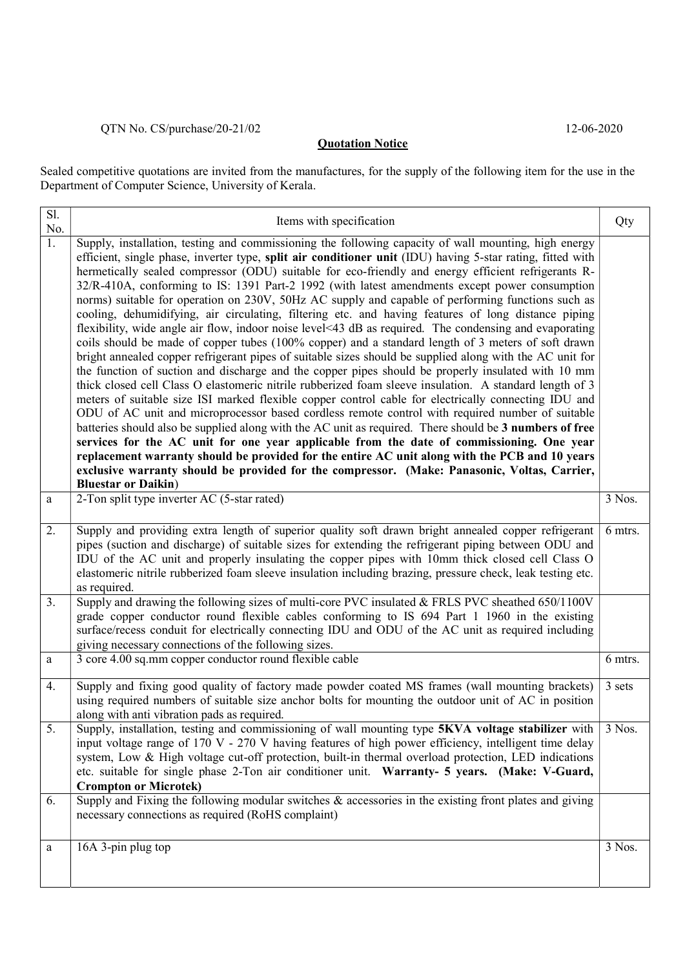## QTN No. CS/purchase/20-21/02 12-06-2020

## **Quotation Notice**

Sealed competitive quotations are invited from the manufactures, for the supply of the following item for the use in the Department of Computer Science, University of Kerala.

| $\overline{SI}$ .<br>No. | Items with specification                                                                                                                                                                                                                                                                                                                                                                                                                                                                                                                                                                                                                                                                                                                                                                                                                                                                                                                                                                                                                                                                                                                                                                                                                                                                                                                                                                                                                                                                                                                                                                                                                                                                                                                                                                                                                 | Qty     |
|--------------------------|------------------------------------------------------------------------------------------------------------------------------------------------------------------------------------------------------------------------------------------------------------------------------------------------------------------------------------------------------------------------------------------------------------------------------------------------------------------------------------------------------------------------------------------------------------------------------------------------------------------------------------------------------------------------------------------------------------------------------------------------------------------------------------------------------------------------------------------------------------------------------------------------------------------------------------------------------------------------------------------------------------------------------------------------------------------------------------------------------------------------------------------------------------------------------------------------------------------------------------------------------------------------------------------------------------------------------------------------------------------------------------------------------------------------------------------------------------------------------------------------------------------------------------------------------------------------------------------------------------------------------------------------------------------------------------------------------------------------------------------------------------------------------------------------------------------------------------------|---------|
| 1.                       | Supply, installation, testing and commissioning the following capacity of wall mounting, high energy<br>efficient, single phase, inverter type, split air conditioner unit (IDU) having 5-star rating, fitted with<br>hermetically sealed compressor (ODU) suitable for eco-friendly and energy efficient refrigerants R-<br>32/R-410A, conforming to IS: 1391 Part-2 1992 (with latest amendments except power consumption<br>norms) suitable for operation on 230V, 50Hz AC supply and capable of performing functions such as<br>cooling, dehumidifying, air circulating, filtering etc. and having features of long distance piping<br>flexibility, wide angle air flow, indoor noise level<43 dB as required. The condensing and evaporating<br>coils should be made of copper tubes (100% copper) and a standard length of 3 meters of soft drawn<br>bright annealed copper refrigerant pipes of suitable sizes should be supplied along with the AC unit for<br>the function of suction and discharge and the copper pipes should be properly insulated with 10 mm<br>thick closed cell Class O elastomeric nitrile rubberized foam sleeve insulation. A standard length of 3<br>meters of suitable size ISI marked flexible copper control cable for electrically connecting IDU and<br>ODU of AC unit and microprocessor based cordless remote control with required number of suitable<br>batteries should also be supplied along with the AC unit as required. There should be 3 numbers of free<br>services for the AC unit for one year applicable from the date of commissioning. One year<br>replacement warranty should be provided for the entire AC unit along with the PCB and 10 years<br>exclusive warranty should be provided for the compressor. (Make: Panasonic, Voltas, Carrier,<br><b>Bluestar or Daikin)</b> |         |
| a                        | 2-Ton split type inverter AC (5-star rated)                                                                                                                                                                                                                                                                                                                                                                                                                                                                                                                                                                                                                                                                                                                                                                                                                                                                                                                                                                                                                                                                                                                                                                                                                                                                                                                                                                                                                                                                                                                                                                                                                                                                                                                                                                                              | 3 Nos.  |
| 2.                       | Supply and providing extra length of superior quality soft drawn bright annealed copper refrigerant<br>pipes (suction and discharge) of suitable sizes for extending the refrigerant piping between ODU and<br>IDU of the AC unit and properly insulating the copper pipes with 10mm thick closed cell Class O<br>elastomeric nitrile rubberized foam sleeve insulation including brazing, pressure check, leak testing etc.<br>as required.                                                                                                                                                                                                                                                                                                                                                                                                                                                                                                                                                                                                                                                                                                                                                                                                                                                                                                                                                                                                                                                                                                                                                                                                                                                                                                                                                                                             | 6 mtrs. |
| 3.                       | Supply and drawing the following sizes of multi-core PVC insulated & FRLS PVC sheathed 650/1100V<br>grade copper conductor round flexible cables conforming to IS 694 Part 1 1960 in the existing<br>surface/recess conduit for electrically connecting IDU and ODU of the AC unit as required including<br>giving necessary connections of the following sizes.                                                                                                                                                                                                                                                                                                                                                                                                                                                                                                                                                                                                                                                                                                                                                                                                                                                                                                                                                                                                                                                                                                                                                                                                                                                                                                                                                                                                                                                                         |         |
| a                        | 3 core 4.00 sq.mm copper conductor round flexible cable                                                                                                                                                                                                                                                                                                                                                                                                                                                                                                                                                                                                                                                                                                                                                                                                                                                                                                                                                                                                                                                                                                                                                                                                                                                                                                                                                                                                                                                                                                                                                                                                                                                                                                                                                                                  | 6 mtrs. |
| 4.                       | Supply and fixing good quality of factory made powder coated MS frames (wall mounting brackets)<br>using required numbers of suitable size anchor bolts for mounting the outdoor unit of AC in position<br>along with anti vibration pads as required.                                                                                                                                                                                                                                                                                                                                                                                                                                                                                                                                                                                                                                                                                                                                                                                                                                                                                                                                                                                                                                                                                                                                                                                                                                                                                                                                                                                                                                                                                                                                                                                   | 3 sets  |
| 5.                       | Supply, installation, testing and commissioning of wall mounting type 5KVA voltage stabilizer with<br>input voltage range of 170 V - 270 V having features of high power efficiency, intelligent time delay<br>system, Low & High voltage cut-off protection, built-in thermal overload protection, LED indications<br>etc. suitable for single phase 2-Ton air conditioner unit. Warranty- 5 years. (Make: V-Guard,<br><b>Crompton or Microtek)</b>                                                                                                                                                                                                                                                                                                                                                                                                                                                                                                                                                                                                                                                                                                                                                                                                                                                                                                                                                                                                                                                                                                                                                                                                                                                                                                                                                                                     | 3 Nos.  |
| 6.                       | Supply and Fixing the following modular switches $\&$ accessories in the existing front plates and giving<br>necessary connections as required (RoHS complaint)                                                                                                                                                                                                                                                                                                                                                                                                                                                                                                                                                                                                                                                                                                                                                                                                                                                                                                                                                                                                                                                                                                                                                                                                                                                                                                                                                                                                                                                                                                                                                                                                                                                                          |         |
| a                        | 16A 3-pin plug top                                                                                                                                                                                                                                                                                                                                                                                                                                                                                                                                                                                                                                                                                                                                                                                                                                                                                                                                                                                                                                                                                                                                                                                                                                                                                                                                                                                                                                                                                                                                                                                                                                                                                                                                                                                                                       | 3 Nos.  |